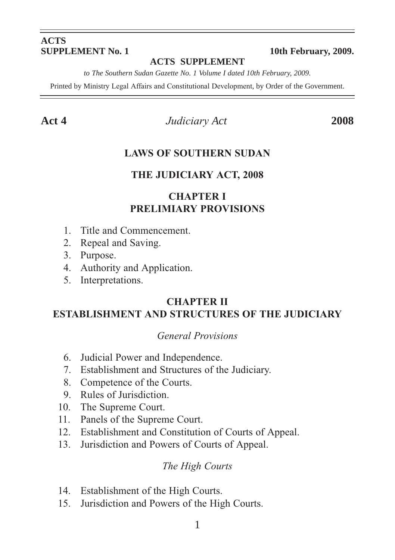# **ACTS**

#### **10th February, 2009.**

#### **ACTS SUPPLEMENT**

*to The Southern Sudan Gazette No. 1 Volume I dated 10th February, 2009.*

Printed by Ministry Legal Affairs and Constitutional Development, by Order of the Government.

**Act 4** *Judiciary Act* **2008**

#### **LAWS OF SOUTHERN SUDAN**

#### **THE JUDICIARY ACT, 2008**

#### **CHAPTER I PRELIMIARY PROVISIONS**

- 1. Title and Commencement.
- 2. Repeal and Saving.
- 3. Purpose.
- 4. Authority and Application.
- 5. Interpretations.

#### **CHAPTER II ESTABLISHMENT AND STRUCTURES OF THE JUDICIARY**

#### *General Provisions*

- 6. Judicial Power and Independence.
- 7. Establishment and Structures of the Judiciary.
- 8. Competence of the Courts.
- 9. Rules of Jurisdiction.
- 10. The Supreme Court.
- 11. Panels of the Supreme Court.
- 12. Establishment and Constitution of Courts of Appeal.
- 13. Jurisdiction and Powers of Courts of Appeal.

#### *The High Courts*

- 14. Establishment of the High Courts.
- 15. Jurisdiction and Powers of the High Courts.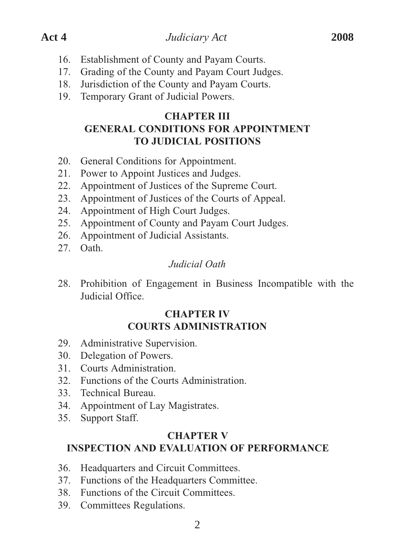- 16. Establishment of County and Payam Courts.
- 17. Grading of the County and Payam Court Judges.
- 18. Jurisdiction of the County and Payam Courts.
- 19. Temporary Grant of Judicial Powers.

#### **CHAPTER III GENERAL CONDITIONS FOR APPOINTMENT TO JUDICIAL POSITIONS**

- 20. General Conditions for Appointment.
- 21. Power to Appoint Justices and Judges.
- 22. Appointment of Justices of the Supreme Court.
- 23. Appointment of Justices of the Courts of Appeal.
- 24. Appointment of High Court Judges.
- 25. Appointment of County and Payam Court Judges.
- 26. Appointment of Judicial Assistants.
- 27. Oath.

#### *Judicial Oath*

28. Prohibition of Engagement in Business Incompatible with the Judicial Office.

#### **CHAPTER IV COURTS ADMINISTRATION**

- 29. Administrative Supervision.
- 30. Delegation of Powers.
- 31. Courts Administration.
- 32. Functions of the Courts Administration.
- 33. Technical Bureau.
- 34. Appointment of Lay Magistrates.
- 35. Support Staff.

#### **CHAPTER V INSPECTION AND EVALUATION OF PERFORMANCE**

- 36. Headquarters and Circuit Committees.
- 37. Functions of the Headquarters Committee.
- 38. Functions of the Circuit Committees.
- 39. Committees Regulations.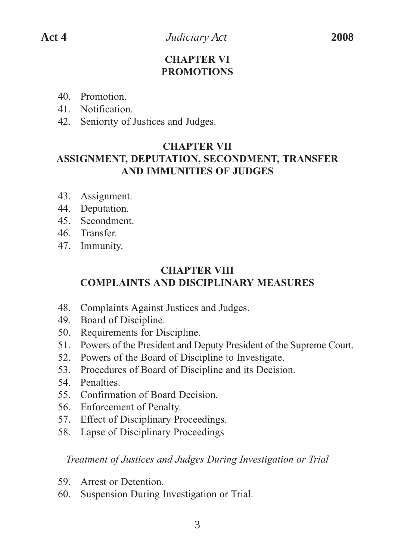#### **CHAPTER VI PROMOTIONS**

- 40. Promotion.
- 41. Notification.
- 42. Seniority of Justices and Judges.

#### **CHAPTER VII**

### **ASSIGNMENT, DEPUTATION, SECONDMENT, TRANSFER AND IMMUNITIES OF JUDGES**

- 43. Assignment.
- 44. Deputation.
- 45. Secondment.
- 46. Transfer.
- 47. Immunity.

# **CHAPTER VIII COMPLAINTS AND DISCIPLINARY MEASURES**

- 48. Complaints Against Justices and Judges.
- 49. Board of Discipline.
- 50. Requirements for Discipline.
- 51. Powers of the President and Deputy President of the Supreme Court.
- 52. Powers of the Board of Discipline to Investigate.
- 53. Procedures of Board of Discipline and its Decision.
- 54. Penalties.
- 55. Confirmation of Board Decision.
- 56. Enforcement of Penalty.
- 57. Effect of Disciplinary Proceedings.
- 58. Lapse of Disciplinary Proceedings

#### *Treatment of Justices and Judges During Investigation or Trial*

- 59. Arrest or Detention.
- 60. Suspension During Investigation or Trial.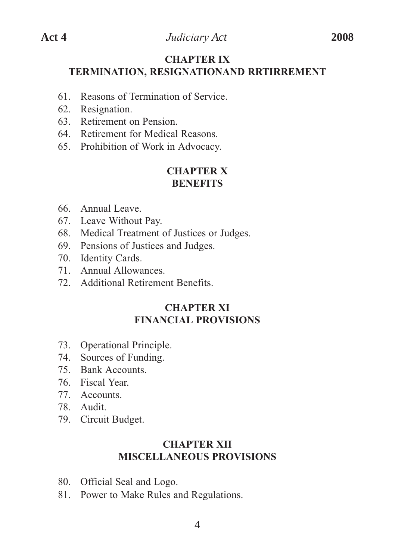#### **CHAPTER IX TERMINATION, RESIGNATIONAND RRTIRREMENT**

- 61. Reasons of Termination of Service.
- 62. Resignation.
- 63. Retirement on Pension.
- 64. Retirement for Medical Reasons.
- 65. Prohibition of Work in Advocacy.

#### **CHAPTER X BENEFITS**

- 66. Annual Leave.
- 67. Leave Without Pay.
- 68. Medical Treatment of Justices or Judges.
- 69. Pensions of Justices and Judges.
- 70. Identity Cards.
- 71. Annual Allowances.
- 72. Additional Retirement Benefits.

#### **CHAPTER XI FINANCIAL PROVISIONS**

- 73. Operational Principle.
- 74. Sources of Funding.
- 75. Bank Accounts.
- 76. Fiscal Year.
- 77. Accounts.
- 78. Audit.
- 79. Circuit Budget.

#### **CHAPTER XII MISCELLANEOUS PROVISIONS**

- 80. Official Seal and Logo.
- 81. Power to Make Rules and Regulations.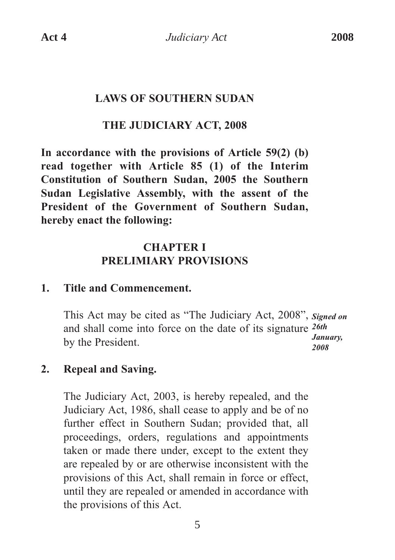#### **LAWS OF SOUTHERN SUDAN**

### **THE JUDICIARY ACT, 2008**

**In accordance with the provisions of Article 59(2) (b) read together with Article 85 (1) of the Interim Constitution of Southern Sudan, 2005 the Southern Sudan Legislative Assembly, with the assent of the President of the Government of Southern Sudan, hereby enact the following:**

# **CHAPTER I PRELIMIARY PROVISIONS**

#### **1. Title and Commencement.**

This Act may be cited as "The Judiciary Act, 2008", *Signed on* and shall come into force on the date of its signature *26th*  by the President. *January, 2008*

### **2. Repeal and Saving.**

The Judiciary Act, 2003, is hereby repealed, and the Judiciary Act, 1986, shall cease to apply and be of no further effect in Southern Sudan; provided that, all proceedings, orders, regulations and appointments taken or made there under, except to the extent they are repealed by or are otherwise inconsistent with the provisions of this Act, shall remain in force or effect, until they are repealed or amended in accordance with the provisions of this Act.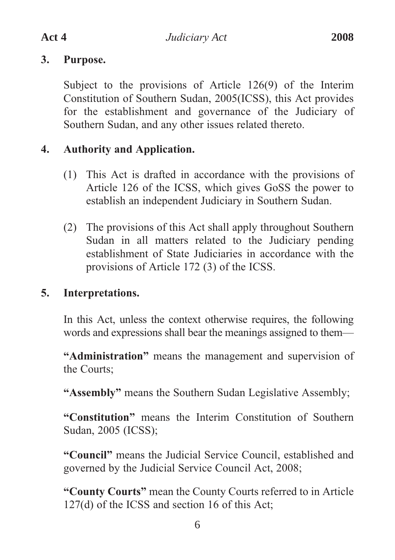#### **3. Purpose.**

Subject to the provisions of Article 126(9) of the Interim Constitution of Southern Sudan, 2005(ICSS), this Act provides for the establishment and governance of the Judiciary of Southern Sudan, and any other issues related thereto.

# **4. Authority and Application.**

- (1) This Act is drafted in accordance with the provisions of Article 126 of the ICSS, which gives GoSS the power to establish an independent Judiciary in Southern Sudan.
- (2) The provisions of this Act shall apply throughout Southern Sudan in all matters related to the Judiciary pending establishment of State Judiciaries in accordance with the provisions of Article 172 (3) of the ICSS.

# **5. Interpretations.**

In this Act, unless the context otherwise requires, the following words and expressions shall bear the meanings assigned to them—

**"Administration"** means the management and supervision of the Courts;

**"Assembly"** means the Southern Sudan Legislative Assembly;

**"Constitution"** means the Interim Constitution of Southern Sudan, 2005 (ICSS);

**"Council"** means the Judicial Service Council, established and governed by the Judicial Service Council Act, 2008;

**"County Courts"** mean the County Courts referred to in Article 127(d) of the ICSS and section 16 of this Act;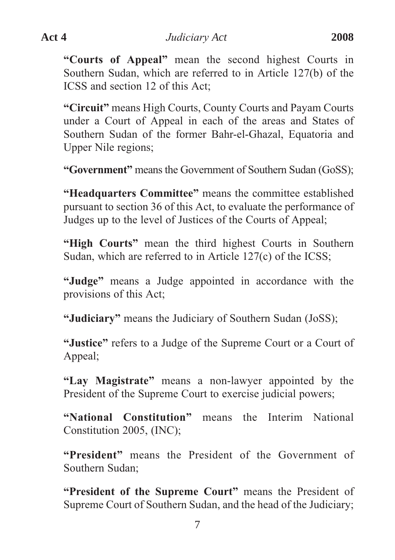**"Courts of Appeal"** mean the second highest Courts in Southern Sudan, which are referred to in Article 127(b) of the ICSS and section 12 of this Act;

**"Circuit"** means High Courts, County Courts and Payam Courts under a Court of Appeal in each of the areas and States of Southern Sudan of the former Bahr-el-Ghazal, Equatoria and Upper Nile regions;

**"Government"** means the Government of Southern Sudan (GoSS);

**"Headquarters Committee"** means the committee established pursuant to section 36 of this Act, to evaluate the performance of Judges up to the level of Justices of the Courts of Appeal;

**"High Courts"** mean the third highest Courts in Southern Sudan, which are referred to in Article 127(c) of the ICSS;

**"Judge"** means a Judge appointed in accordance with the provisions of this Act;

**"Judiciary"** means the Judiciary of Southern Sudan (JoSS);

**"Justice"** refers to a Judge of the Supreme Court or a Court of Appeal;

**"Lay Magistrate"** means a non-lawyer appointed by the President of the Supreme Court to exercise judicial powers;

**"National Constitution"** means the Interim National Constitution 2005, (INC);

**"President"** means the President of the Government of Southern Sudan;

**"President of the Supreme Court"** means the President of Supreme Court of Southern Sudan, and the head of the Judiciary;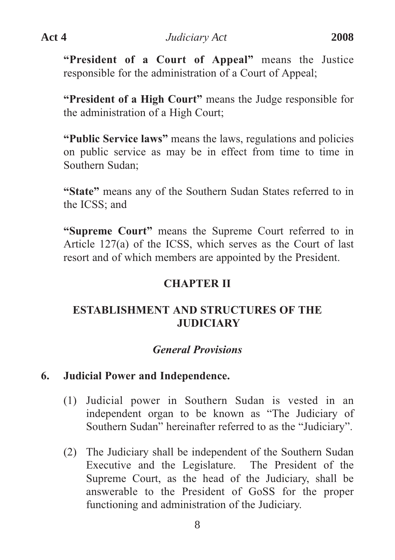**"President of a Court of Appeal"** means the Justice responsible for the administration of a Court of Appeal;

**"President of a High Court"** means the Judge responsible for the administration of a High Court;

**"Public Service laws"** means the laws, regulations and policies on public service as may be in effect from time to time in Southern Sudan;

**"State"** means any of the Southern Sudan States referred to in the ICSS; and

**"Supreme Court"** means the Supreme Court referred to in Article 127(a) of the ICSS, which serves as the Court of last resort and of which members are appointed by the President.

#### **CHAPTER II**

# **ESTABLISHMENT AND STRUCTURES OF THE JUDICIARY**

#### *General Provisions*

#### **6. Judicial Power and Independence.**

- (1) Judicial power in Southern Sudan is vested in an independent organ to be known as "The Judiciary of Southern Sudan" hereinafter referred to as the "Judiciary".
- (2) The Judiciary shall be independent of the Southern Sudan Executive and the Legislature. The President of the Supreme Court, as the head of the Judiciary, shall be answerable to the President of GoSS for the proper functioning and administration of the Judiciary.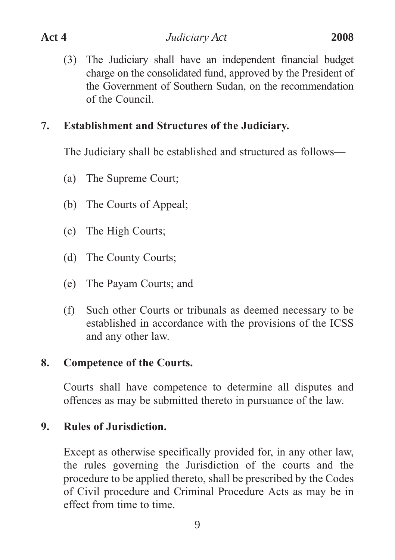(3) The Judiciary shall have an independent financial budget charge on the consolidated fund, approved by the President of the Government of Southern Sudan, on the recommendation of the Council.

### **7. Establishment and Structures of the Judiciary.**

The Judiciary shall be established and structured as follows—

- (a) The Supreme Court;
- (b) The Courts of Appeal;
- (c) The High Courts;
- (d) The County Courts;
- (e) The Payam Courts; and
- (f) Such other Courts or tribunals as deemed necessary to be established in accordance with the provisions of the ICSS and any other law.

# **8. Competence of the Courts.**

Courts shall have competence to determine all disputes and offences as may be submitted thereto in pursuance of the law.

# **9. Rules of Jurisdiction.**

Except as otherwise specifically provided for, in any other law, the rules governing the Jurisdiction of the courts and the procedure to be applied thereto, shall be prescribed by the Codes of Civil procedure and Criminal Procedure Acts as may be in effect from time to time.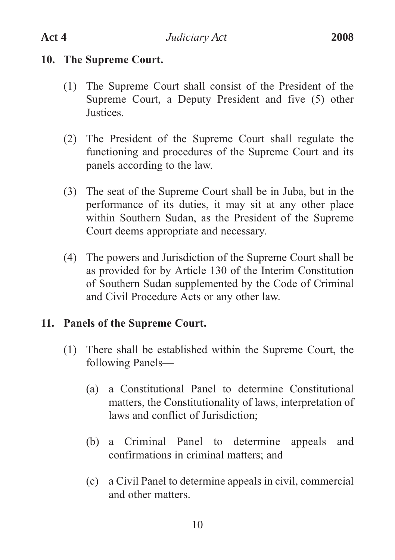# **10. The Supreme Court.**

- (1) The Supreme Court shall consist of the President of the Supreme Court, a Deputy President and five (5) other Justices.
- (2) The President of the Supreme Court shall regulate the functioning and procedures of the Supreme Court and its panels according to the law.
- (3) The seat of the Supreme Court shall be in Juba, but in the performance of its duties, it may sit at any other place within Southern Sudan, as the President of the Supreme Court deems appropriate and necessary.
- (4) The powers and Jurisdiction of the Supreme Court shall be as provided for by Article 130 of the Interim Constitution of Southern Sudan supplemented by the Code of Criminal and Civil Procedure Acts or any other law.

# **11. Panels of the Supreme Court.**

- (1) There shall be established within the Supreme Court, the following Panels—
	- (a) a Constitutional Panel to determine Constitutional matters, the Constitutionality of laws, interpretation of laws and conflict of Jurisdiction;
	- (b) a Criminal Panel to determine appeals and confirmations in criminal matters; and
	- (c) a Civil Panel to determine appeals in civil, commercial and other matters.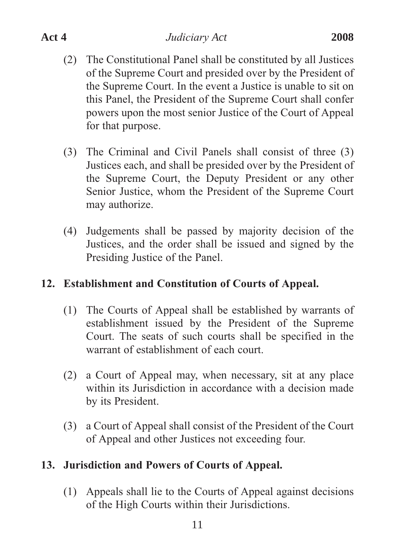- (2) The Constitutional Panel shall be constituted by all Justices of the Supreme Court and presided over by the President of the Supreme Court. In the event a Justice is unable to sit on this Panel, the President of the Supreme Court shall confer powers upon the most senior Justice of the Court of Appeal for that purpose.
- (3) The Criminal and Civil Panels shall consist of three (3) Justices each, and shall be presided over by the President of the Supreme Court, the Deputy President or any other Senior Justice, whom the President of the Supreme Court may authorize.
- (4) Judgements shall be passed by majority decision of the Justices, and the order shall be issued and signed by the Presiding Justice of the Panel.

# **12. Establishment and Constitution of Courts of Appeal.**

- (1) The Courts of Appeal shall be established by warrants of establishment issued by the President of the Supreme Court. The seats of such courts shall be specified in the warrant of establishment of each court.
- (2) a Court of Appeal may, when necessary, sit at any place within its Jurisdiction in accordance with a decision made by its President.
- (3) a Court of Appeal shall consist of the President of the Court of Appeal and other Justices not exceeding four.

# **13. Jurisdiction and Powers of Courts of Appeal.**

(1) Appeals shall lie to the Courts of Appeal against decisions of the High Courts within their Jurisdictions.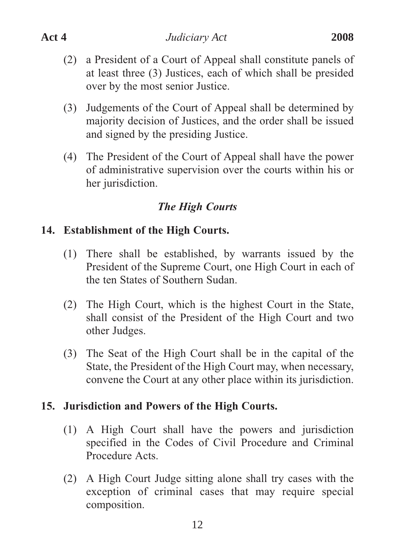- (2) a President of a Court of Appeal shall constitute panels of at least three (3) Justices, each of which shall be presided over by the most senior Justice.
- (3) Judgements of the Court of Appeal shall be determined by majority decision of Justices, and the order shall be issued and signed by the presiding Justice.
- (4) The President of the Court of Appeal shall have the power of administrative supervision over the courts within his or her jurisdiction.

# *The High Courts*

# **14. Establishment of the High Courts.**

- (1) There shall be established, by warrants issued by the President of the Supreme Court, one High Court in each of the ten States of Southern Sudan.
- (2) The High Court, which is the highest Court in the State, shall consist of the President of the High Court and two other Judges.
- (3) The Seat of the High Court shall be in the capital of the State, the President of the High Court may, when necessary, convene the Court at any other place within its jurisdiction.

### **15. Jurisdiction and Powers of the High Courts.**

- (1) A High Court shall have the powers and jurisdiction specified in the Codes of Civil Procedure and Criminal Procedure Acts.
- (2) A High Court Judge sitting alone shall try cases with the exception of criminal cases that may require special composition.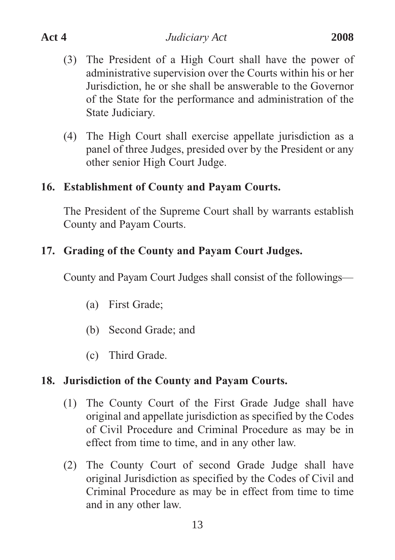- (3) The President of a High Court shall have the power of administrative supervision over the Courts within his or her Jurisdiction, he or she shall be answerable to the Governor of the State for the performance and administration of the State Judiciary.
- (4) The High Court shall exercise appellate jurisdiction as a panel of three Judges, presided over by the President or any other senior High Court Judge.

### **16. Establishment of County and Payam Courts.**

The President of the Supreme Court shall by warrants establish County and Payam Courts.

# **17. Grading of the County and Payam Court Judges.**

County and Payam Court Judges shall consist of the followings—

- (a) First Grade;
- (b) Second Grade; and
- (c) Third Grade.

### **18. Jurisdiction of the County and Payam Courts.**

- (1) The County Court of the First Grade Judge shall have original and appellate jurisdiction as specified by the Codes of Civil Procedure and Criminal Procedure as may be in effect from time to time, and in any other law.
- (2) The County Court of second Grade Judge shall have original Jurisdiction as specified by the Codes of Civil and Criminal Procedure as may be in effect from time to time and in any other law.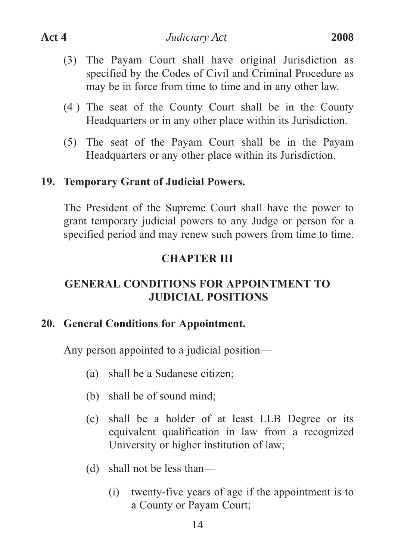- (3) The Payam Court shall have original Jurisdiction as specified by the Codes of Civil and Criminal Procedure as may be in force from time to time and in any other law.
- (4 ) The seat of the County Court shall be in the County Headquarters or in any other place within its Jurisdiction.
- (5) The seat of the Payam Court shall be in the Payam Headquarters or any other place within its Jurisdiction.

#### **19. Temporary Grant of Judicial Powers.**

The President of the Supreme Court shall have the power to grant temporary judicial powers to any Judge or person for a specified period and may renew such powers from time to time.

#### **CHAPTER III**

# **GENERAL CONDITIONS FOR APPOINTMENT TO JUDICIAL POSITIONS**

#### **20. General Conditions for Appointment.**

Any person appointed to a judicial position—

- (a) shall be a Sudanese citizen;
- (b) shall be of sound mind;
- (c) shall be a holder of at least LLB Degree or its equivalent qualification in law from a recognized University or higher institution of law;
- (d) shall not be less than—
	- (i) twenty-five years of age if the appointment is to a County or Payam Court;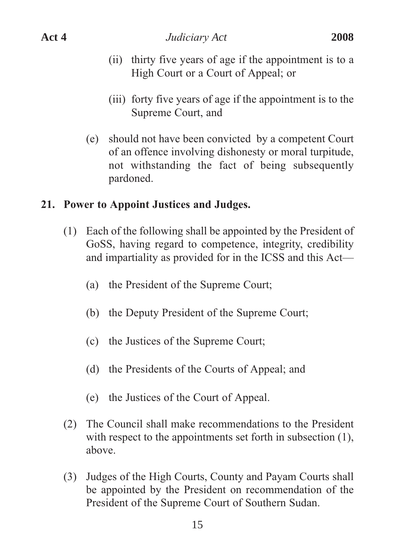- (ii) thirty five years of age if the appointment is to a High Court or a Court of Appeal; or
- (iii) forty five years of age if the appointment is to the Supreme Court, and
- (e) should not have been convicted by a competent Court of an offence involving dishonesty or moral turpitude, not withstanding the fact of being subsequently pardoned.

#### **21. Power to Appoint Justices and Judges.**

- (1) Each of the following shall be appointed by the President of GoSS, having regard to competence, integrity, credibility and impartiality as provided for in the ICSS and this Act—
	- (a) the President of the Supreme Court;
	- (b) the Deputy President of the Supreme Court;
	- (c) the Justices of the Supreme Court;
	- (d) the Presidents of the Courts of Appeal; and
	- (e) the Justices of the Court of Appeal.
- (2) The Council shall make recommendations to the President with respect to the appointments set forth in subsection  $(1)$ , above.
- (3) Judges of the High Courts, County and Payam Courts shall be appointed by the President on recommendation of the President of the Supreme Court of Southern Sudan.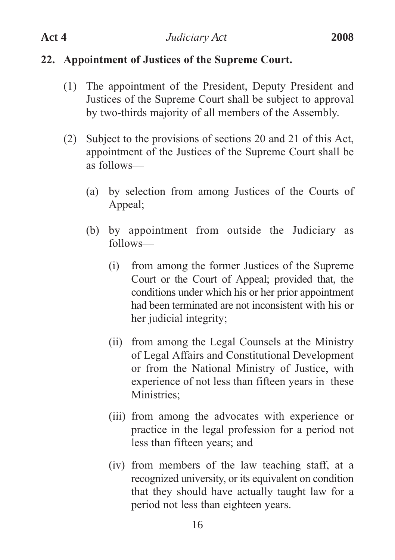- (iii) from among the advocates with experience or practice in the legal profession for a period not less than fifteen years; and
- (iv) from members of the law teaching staff, at a recognized university, or its equivalent on condition that they should have actually taught law for a period not less than eighteen years.

# **22. Appointment of Justices of the Supreme Court.**

- (1) The appointment of the President, Deputy President and Justices of the Supreme Court shall be subject to approval by two-thirds majority of all members of the Assembly.
- (2) Subject to the provisions of sections 20 and 21 of this Act, appointment of the Justices of the Supreme Court shall be as follows—
	- (a) by selection from among Justices of the Courts of Appeal;
	- (b) by appointment from outside the Judiciary as follows—
		- (i) from among the former Justices of the Supreme Court or the Court of Appeal; provided that, the conditions under which his or her prior appointment had been terminated are not inconsistent with his or her judicial integrity;
		- of Legal Affairs and Constitutional Development or from the National Ministry of Justice, with experience of not less than fifteen years in these Ministries;

(ii) from among the Legal Counsels at the Ministry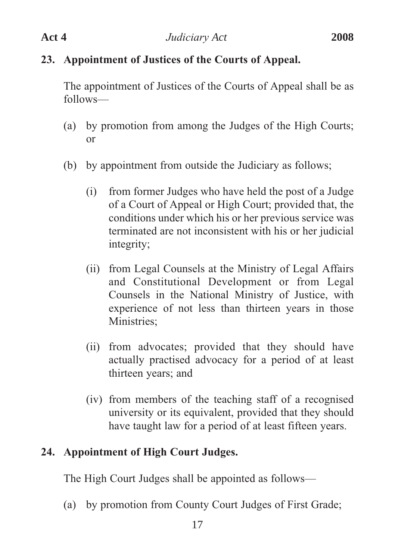# **23. Appointment of Justices of the Courts of Appeal.**

The appointment of Justices of the Courts of Appeal shall be as follows—

- (a) by promotion from among the Judges of the High Courts; or
- (b) by appointment from outside the Judiciary as follows;
	- (i) from former Judges who have held the post of a Judge of a Court of Appeal or High Court; provided that, the conditions under which his or her previous service was terminated are not inconsistent with his or her judicial integrity;
	- (ii) from Legal Counsels at the Ministry of Legal Affairs and Constitutional Development or from Legal Counsels in the National Ministry of Justice, with experience of not less than thirteen years in those Ministries;
	- (ii) from advocates; provided that they should have actually practised advocacy for a period of at least thirteen years; and
	- (iv) from members of the teaching staff of a recognised university or its equivalent, provided that they should have taught law for a period of at least fifteen years.

# **24. Appointment of High Court Judges.**

The High Court Judges shall be appointed as follows—

(a) by promotion from County Court Judges of First Grade;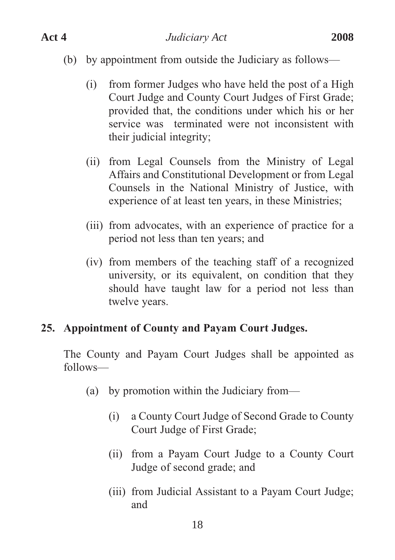- (b) by appointment from outside the Judiciary as follows—
	- (i) from former Judges who have held the post of a High Court Judge and County Court Judges of First Grade; provided that, the conditions under which his or her service was terminated were not inconsistent with their judicial integrity;
	- (ii) from Legal Counsels from the Ministry of Legal Affairs and Constitutional Development or from Legal Counsels in the National Ministry of Justice, with experience of at least ten years, in these Ministries;
	- (iii) from advocates, with an experience of practice for a period not less than ten years; and
	- (iv) from members of the teaching staff of a recognized university, or its equivalent, on condition that they should have taught law for a period not less than twelve years.

### **25. Appointment of County and Payam Court Judges.**

The County and Payam Court Judges shall be appointed as follows—

- (a) by promotion within the Judiciary from—
	- (i) a County Court Judge of Second Grade to County Court Judge of First Grade;
	- (ii) from a Payam Court Judge to a County Court Judge of second grade; and
	- (iii) from Judicial Assistant to a Payam Court Judge; and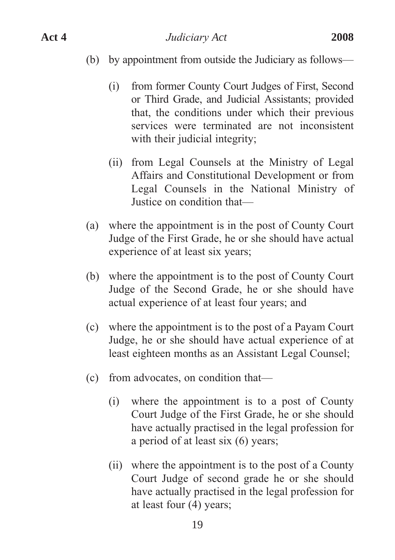#### (b) by appointment from outside the Judiciary as follows—

- (i) from former County Court Judges of First, Second or Third Grade, and Judicial Assistants; provided that, the conditions under which their previous services were terminated are not inconsistent with their judicial integrity;
- (ii) from Legal Counsels at the Ministry of Legal Affairs and Constitutional Development or from Legal Counsels in the National Ministry of Justice on condition that—
- (a) where the appointment is in the post of County Court Judge of the First Grade, he or she should have actual experience of at least six years;
- (b) where the appointment is to the post of County Court Judge of the Second Grade, he or she should have actual experience of at least four years; and
- (c) where the appointment is to the post of a Payam Court Judge, he or she should have actual experience of at least eighteen months as an Assistant Legal Counsel;
- (c) from advocates, on condition that—
	- (i) where the appointment is to a post of County Court Judge of the First Grade, he or she should have actually practised in the legal profession for a period of at least six (6) years;
	- (ii) where the appointment is to the post of a County Court Judge of second grade he or she should have actually practised in the legal profession for at least four (4) years;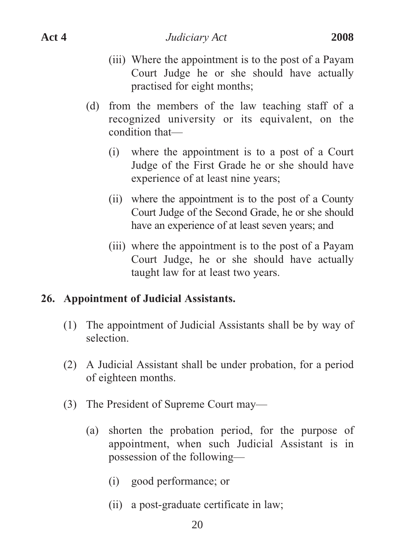- (iii) Where the appointment is to the post of a Payam Court Judge he or she should have actually practised for eight months;
- (d) from the members of the law teaching staff of a recognized university or its equivalent, on the condition that—
	- (i) where the appointment is to a post of a Court Judge of the First Grade he or she should have experience of at least nine years;
	- (ii) where the appointment is to the post of a County Court Judge of the Second Grade, he or she should have an experience of at least seven years; and
	- (iii) where the appointment is to the post of a Payam Court Judge, he or she should have actually taught law for at least two years.

### **26. Appointment of Judicial Assistants.**

- (1) The appointment of Judicial Assistants shall be by way of selection.
- (2) A Judicial Assistant shall be under probation, for a period of eighteen months.
- (3) The President of Supreme Court may—
	- (a) shorten the probation period, for the purpose of appointment, when such Judicial Assistant is in possession of the following—
		- (i) good performance; or
		- (ii) a post-graduate certificate in law;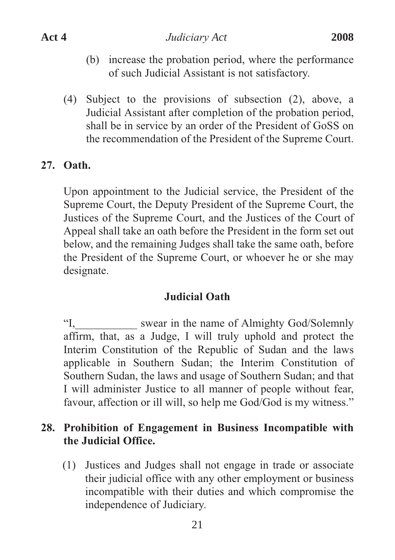- (b) increase the probation period, where the performance of such Judicial Assistant is not satisfactory.
- (4) Subject to the provisions of subsection (2), above, a Judicial Assistant after completion of the probation period, shall be in service by an order of the President of GoSS on the recommendation of the President of the Supreme Court.

#### **27. Oath.**

Upon appointment to the Judicial service, the President of the Supreme Court, the Deputy President of the Supreme Court, the Justices of the Supreme Court, and the Justices of the Court of Appeal shall take an oath before the President in the form set out below, and the remaining Judges shall take the same oath, before the President of the Supreme Court, or whoever he or she may designate.

#### **Judicial Oath**

"I, swear in the name of Almighty God/Solemnly affirm, that, as a Judge, I will truly uphold and protect the Interim Constitution of the Republic of Sudan and the laws applicable in Southern Sudan; the Interim Constitution of Southern Sudan, the laws and usage of Southern Sudan; and that I will administer Justice to all manner of people without fear, favour, affection or ill will, so help me God/God is my witness."

#### **28. Prohibition of Engagement in Business Incompatible with the Judicial Office.**

(1) Justices and Judges shall not engage in trade or associate their judicial office with any other employment or business incompatible with their duties and which compromise the independence of Judiciary.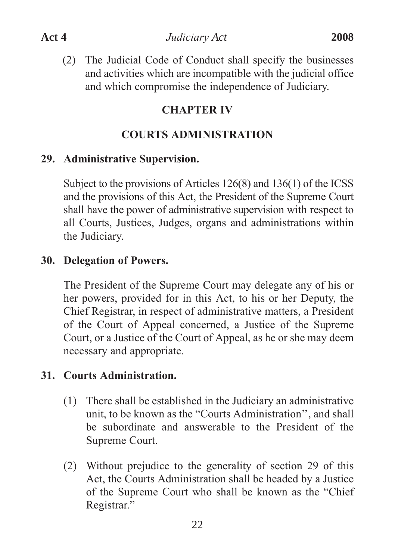(2) The Judicial Code of Conduct shall specify the businesses and activities which are incompatible with the judicial office and which compromise the independence of Judiciary.

# **CHAPTER IV**

# **COURTS ADMINISTRATION**

# **29. Administrative Supervision.**

Subject to the provisions of Articles 126(8) and 136(1) of the ICSS and the provisions of this Act, the President of the Supreme Court shall have the power of administrative supervision with respect to all Courts, Justices, Judges, organs and administrations within the Judiciary.

# **30. Delegation of Powers.**

The President of the Supreme Court may delegate any of his or her powers, provided for in this Act, to his or her Deputy, the Chief Registrar, in respect of administrative matters, a President of the Court of Appeal concerned, a Justice of the Supreme Court, or a Justice of the Court of Appeal, as he or she may deem necessary and appropriate.

### **31. Courts Administration.**

- (1) There shall be established in the Judiciary an administrative unit, to be known as the "Courts Administration'', and shall be subordinate and answerable to the President of the Supreme Court.
- (2) Without prejudice to the generality of section 29 of this Act, the Courts Administration shall be headed by a Justice of the Supreme Court who shall be known as the "Chief Registrar."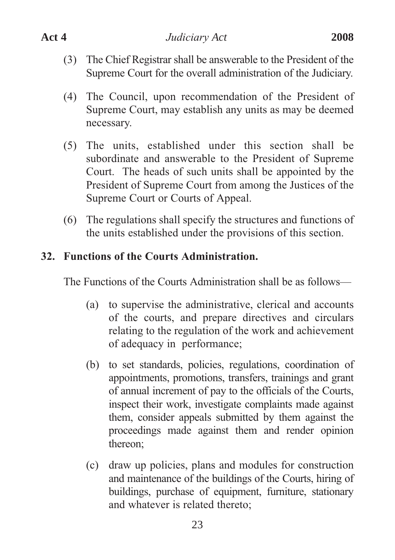- (3) The Chief Registrar shall be answerable to the President of the Supreme Court for the overall administration of the Judiciary.
- (4) The Council, upon recommendation of the President of Supreme Court, may establish any units as may be deemed necessary.
- (5) The units, established under this section shall be subordinate and answerable to the President of Supreme Court. The heads of such units shall be appointed by the President of Supreme Court from among the Justices of the Supreme Court or Courts of Appeal.
- (6) The regulations shall specify the structures and functions of the units established under the provisions of this section.

### **32. Functions of the Courts Administration.**

The Functions of the Courts Administration shall be as follows—

- (a) to supervise the administrative, clerical and accounts of the courts, and prepare directives and circulars relating to the regulation of the work and achievement of adequacy in performance;
- (b) to set standards, policies, regulations, coordination of appointments, promotions, transfers, trainings and grant of annual increment of pay to the officials of the Courts, inspect their work, investigate complaints made against them, consider appeals submitted by them against the proceedings made against them and render opinion thereon;
- (c) draw up policies, plans and modules for construction and maintenance of the buildings of the Courts, hiring of buildings, purchase of equipment, furniture, stationary and whatever is related thereto;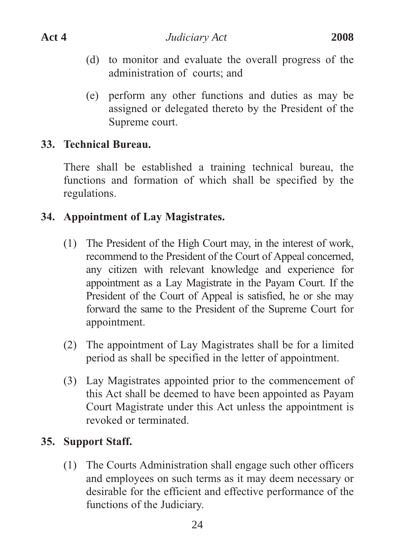- (d) to monitor and evaluate the overall progress of the administration of courts; and
- (e) perform any other functions and duties as may be assigned or delegated thereto by the President of the Supreme court.

#### **33. Technical Bureau.**

There shall be established a training technical bureau, the functions and formation of which shall be specified by the regulations.

#### **34. Appointment of Lay Magistrates.**

- (1) The President of the High Court may, in the interest of work, recommend to the President of the Court of Appeal concerned, any citizen with relevant knowledge and experience for appointment as a Lay Magistrate in the Payam Court. If the President of the Court of Appeal is satisfied, he or she may forward the same to the President of the Supreme Court for appointment.
- (2) The appointment of Lay Magistrates shall be for a limited period as shall be specified in the letter of appointment.
- (3) Lay Magistrates appointed prior to the commencement of this Act shall be deemed to have been appointed as Payam Court Magistrate under this Act unless the appointment is revoked or terminated.

#### **35. Support Staff.**

(1) The Courts Administration shall engage such other officers and employees on such terms as it may deem necessary or desirable for the efficient and effective performance of the functions of the Judiciary.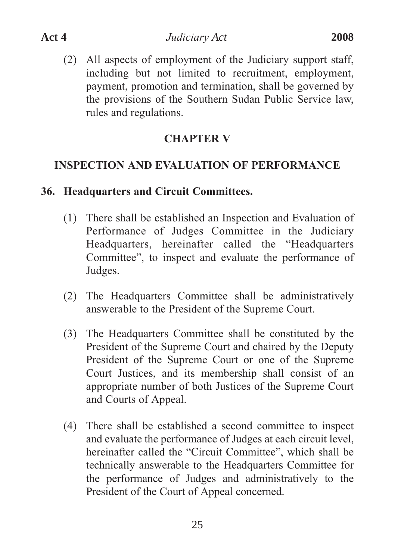(2) All aspects of employment of the Judiciary support staff, including but not limited to recruitment, employment, payment, promotion and termination, shall be governed by the provisions of the Southern Sudan Public Service law, rules and regulations.

#### **CHAPTER V**

# **INSPECTION AND EVALUATION OF PERFORMANCE**

### **36. Headquarters and Circuit Committees.**

- (1) There shall be established an Inspection and Evaluation of Performance of Judges Committee in the Judiciary Headquarters, hereinafter called the "Headquarters Committee", to inspect and evaluate the performance of Judges.
- (2) The Headquarters Committee shall be administratively answerable to the President of the Supreme Court.
- (3) The Headquarters Committee shall be constituted by the President of the Supreme Court and chaired by the Deputy President of the Supreme Court or one of the Supreme Court Justices, and its membership shall consist of an appropriate number of both Justices of the Supreme Court and Courts of Appeal.
- (4) There shall be established a second committee to inspect and evaluate the performance of Judges at each circuit level, hereinafter called the "Circuit Committee", which shall be technically answerable to the Headquarters Committee for the performance of Judges and administratively to the President of the Court of Appeal concerned.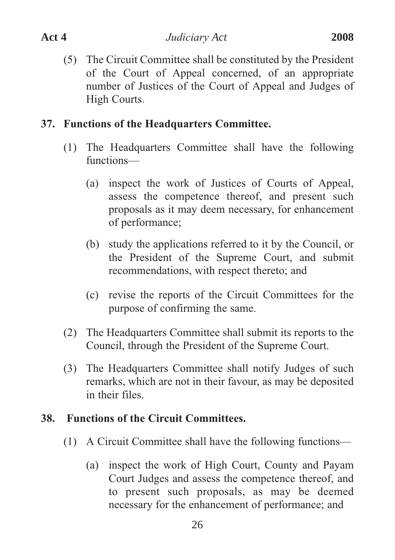(5) The Circuit Committee shall be constituted by the President of the Court of Appeal concerned, of an appropriate number of Justices of the Court of Appeal and Judges of High Courts.

#### **37. Functions of the Headquarters Committee.**

- (1) The Headquarters Committee shall have the following functions—
	- (a) inspect the work of Justices of Courts of Appeal, assess the competence thereof, and present such proposals as it may deem necessary, for enhancement of performance;
	- (b) study the applications referred to it by the Council, or the President of the Supreme Court, and submit recommendations, with respect thereto; and
	- (c) revise the reports of the Circuit Committees for the purpose of confirming the same.
- (2) The Headquarters Committee shall submit its reports to the Council, through the President of the Supreme Court.
- (3) The Headquarters Committee shall notify Judges of such remarks, which are not in their favour, as may be deposited in their files.

### **38. Functions of the Circuit Committees.**

- (1) A Circuit Committee shall have the following functions—
	- (a) inspect the work of High Court, County and Payam Court Judges and assess the competence thereof, and to present such proposals, as may be deemed necessary for the enhancement of performance; and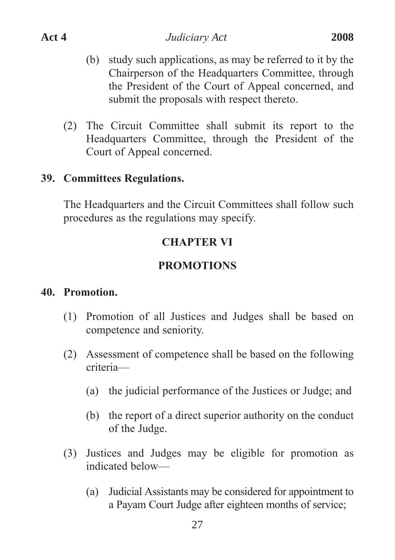- (b) study such applications, as may be referred to it by the Chairperson of the Headquarters Committee, through the President of the Court of Appeal concerned, and submit the proposals with respect thereto.
- (2) The Circuit Committee shall submit its report to the Headquarters Committee, through the President of the Court of Appeal concerned.

#### **39. Committees Regulations.**

The Headquarters and the Circuit Committees shall follow such procedures as the regulations may specify.

#### **CHAPTER VI**

#### **PROMOTIONS**

#### **40. Promotion.**

- (1) Promotion of all Justices and Judges shall be based on competence and seniority.
- (2) Assessment of competence shall be based on the following criteria—
	- (a) the judicial performance of the Justices or Judge; and
	- (b) the report of a direct superior authority on the conduct of the Judge.
- (3) Justices and Judges may be eligible for promotion as indicated below—
	- (a) Judicial Assistants may be considered for appointment to a Payam Court Judge after eighteen months of service;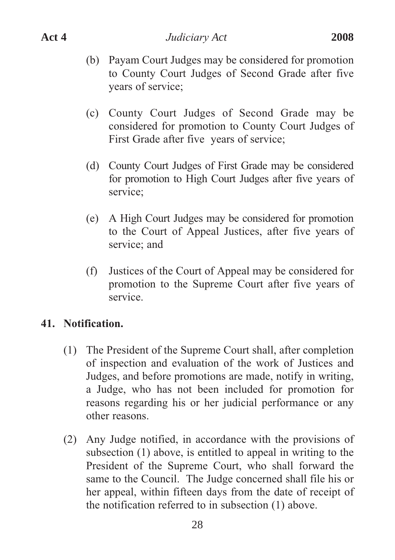- (b) Payam Court Judges may be considered for promotion to County Court Judges of Second Grade after five years of service;
- (c) County Court Judges of Second Grade may be considered for promotion to County Court Judges of First Grade after five years of service;
- (d) County Court Judges of First Grade may be considered for promotion to High Court Judges after five years of service;
- (e) A High Court Judges may be considered for promotion to the Court of Appeal Justices, after five years of service; and
- (f) Justices of the Court of Appeal may be considered for promotion to the Supreme Court after five years of service.

# **41. Notification.**

- (1) The President of the Supreme Court shall, after completion of inspection and evaluation of the work of Justices and Judges, and before promotions are made, notify in writing, a Judge, who has not been included for promotion for reasons regarding his or her judicial performance or any other reasons.
- (2) Any Judge notified, in accordance with the provisions of subsection (1) above, is entitled to appeal in writing to the President of the Supreme Court, who shall forward the same to the Council. The Judge concerned shall file his or her appeal, within fifteen days from the date of receipt of the notification referred to in subsection (1) above.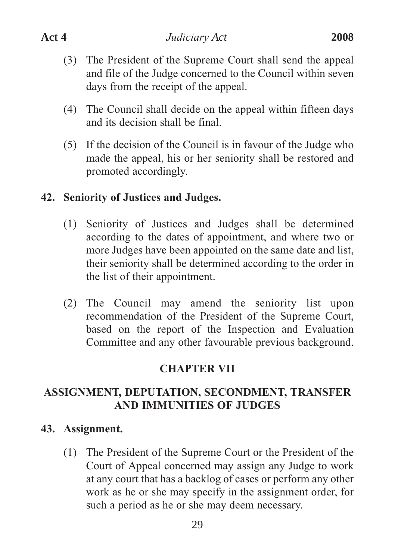- (3) The President of the Supreme Court shall send the appeal and file of the Judge concerned to the Council within seven days from the receipt of the appeal.
- (4) The Council shall decide on the appeal within fifteen days and its decision shall be final.
- (5) If the decision of the Council is in favour of the Judge who made the appeal, his or her seniority shall be restored and promoted accordingly.

### **42. Seniority of Justices and Judges.**

- (1) Seniority of Justices and Judges shall be determined according to the dates of appointment, and where two or more Judges have been appointed on the same date and list, their seniority shall be determined according to the order in the list of their appointment.
- (2) The Council may amend the seniority list upon recommendation of the President of the Supreme Court, based on the report of the Inspection and Evaluation Committee and any other favourable previous background.

### **CHAPTER VII**

# **ASSIGNMENT, DEPUTATION, SECONDMENT, TRANSFER AND IMMUNITIES OF JUDGES**

### **43. Assignment.**

(1) The President of the Supreme Court or the President of the Court of Appeal concerned may assign any Judge to work at any court that has a backlog of cases or perform any other work as he or she may specify in the assignment order, for such a period as he or she may deem necessary.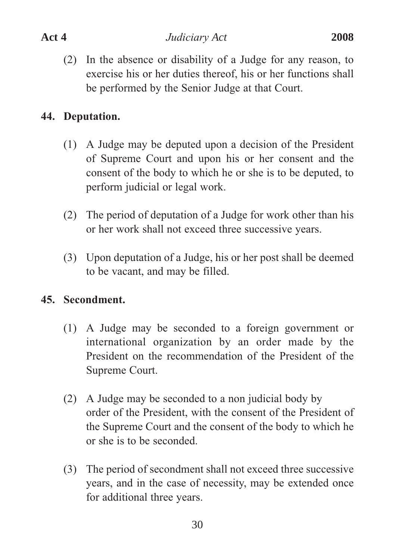(2) In the absence or disability of a Judge for any reason, to exercise his or her duties thereof, his or her functions shall be performed by the Senior Judge at that Court.

# **44. Deputation.**

- (1) A Judge may be deputed upon a decision of the President of Supreme Court and upon his or her consent and the consent of the body to which he or she is to be deputed, to perform judicial or legal work.
- (2) The period of deputation of a Judge for work other than his or her work shall not exceed three successive years.
- (3) Upon deputation of a Judge, his or her post shall be deemed to be vacant, and may be filled.

# **45. Secondment.**

- (1) A Judge may be seconded to a foreign government or international organization by an order made by the President on the recommendation of the President of the Supreme Court.
- (2) A Judge may be seconded to a non judicial body by order of the President, with the consent of the President of the Supreme Court and the consent of the body to which he or she is to be seconded.
- (3) The period of secondment shall not exceed three successive years, and in the case of necessity, may be extended once for additional three years.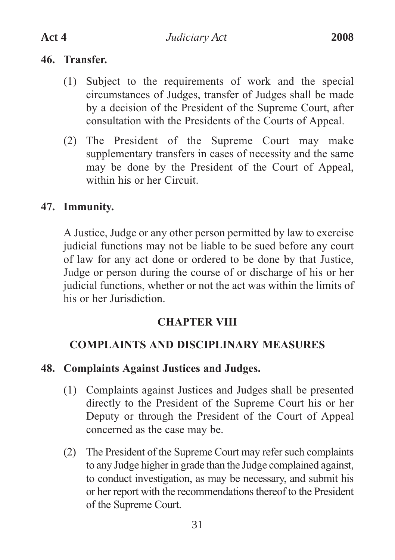#### **46. Transfer.**

- (1) Subject to the requirements of work and the special circumstances of Judges, transfer of Judges shall be made by a decision of the President of the Supreme Court, after consultation with the Presidents of the Courts of Appeal.
- (2) The President of the Supreme Court may make supplementary transfers in cases of necessity and the same may be done by the President of the Court of Appeal, within his or her Circuit.

# **47. Immunity.**

A Justice, Judge or any other person permitted by law to exercise judicial functions may not be liable to be sued before any court of law for any act done or ordered to be done by that Justice, Judge or person during the course of or discharge of his or her judicial functions, whether or not the act was within the limits of his or her Jurisdiction.

### **CHAPTER VIII**

### **COMPLAINTS AND DISCIPLINARY MEASURES**

#### **48. Complaints Against Justices and Judges.**

- (1) Complaints against Justices and Judges shall be presented directly to the President of the Supreme Court his or her Deputy or through the President of the Court of Appeal concerned as the case may be.
- (2) The President of the Supreme Court may refer such complaints to any Judge higher in grade than the Judge complained against, to conduct investigation, as may be necessary, and submit his or her report with the recommendations thereof to the President of the Supreme Court.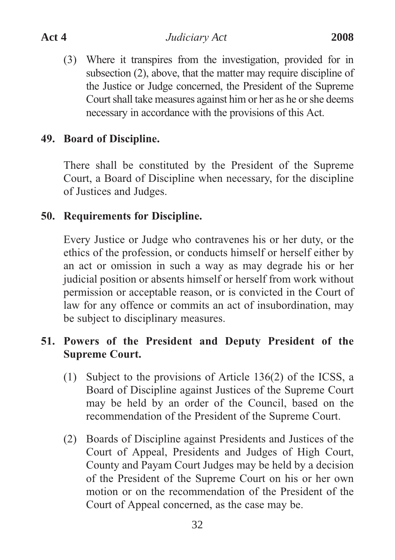(3) Where it transpires from the investigation, provided for in subsection (2), above, that the matter may require discipline of the Justice or Judge concerned, the President of the Supreme Court shall take measures against him or her as he or she deems necessary in accordance with the provisions of this Act.

#### **49. Board of Discipline.**

There shall be constituted by the President of the Supreme Court, a Board of Discipline when necessary, for the discipline of Justices and Judges.

### **50. Requirements for Discipline.**

Every Justice or Judge who contravenes his or her duty, or the ethics of the profession, or conducts himself or herself either by an act or omission in such a way as may degrade his or her judicial position or absents himself or herself from work without permission or acceptable reason, or is convicted in the Court of law for any offence or commits an act of insubordination, may be subject to disciplinary measures.

# **51. Powers of the President and Deputy President of the Supreme Court.**

- (1) Subject to the provisions of Article 136(2) of the ICSS, a Board of Discipline against Justices of the Supreme Court may be held by an order of the Council, based on the recommendation of the President of the Supreme Court.
- (2) Boards of Discipline against Presidents and Justices of the Court of Appeal, Presidents and Judges of High Court, County and Payam Court Judges may be held by a decision of the President of the Supreme Court on his or her own motion or on the recommendation of the President of the Court of Appeal concerned, as the case may be.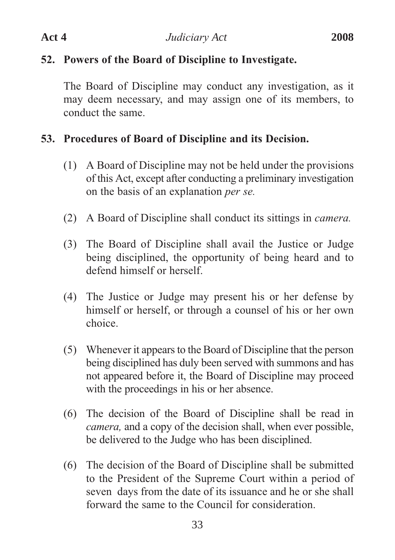# **52. Powers of the Board of Discipline to Investigate.**

The Board of Discipline may conduct any investigation, as it may deem necessary, and may assign one of its members, to conduct the same.

# **53. Procedures of Board of Discipline and its Decision.**

- (1) A Board of Discipline may not be held under the provisions of this Act, except after conducting a preliminary investigation on the basis of an explanation *per se.*
- (2) A Board of Discipline shall conduct its sittings in *camera.*
- (3) The Board of Discipline shall avail the Justice or Judge being disciplined, the opportunity of being heard and to defend himself or herself.
- (4) The Justice or Judge may present his or her defense by himself or herself, or through a counsel of his or her own choice.
- (5) Whenever it appears to the Board of Discipline that the person being disciplined has duly been served with summons and has not appeared before it, the Board of Discipline may proceed with the proceedings in his or her absence.
- (6) The decision of the Board of Discipline shall be read in *camera,* and a copy of the decision shall, when ever possible, be delivered to the Judge who has been disciplined.
- (6) The decision of the Board of Discipline shall be submitted to the President of the Supreme Court within a period of seven days from the date of its issuance and he or she shall forward the same to the Council for consideration.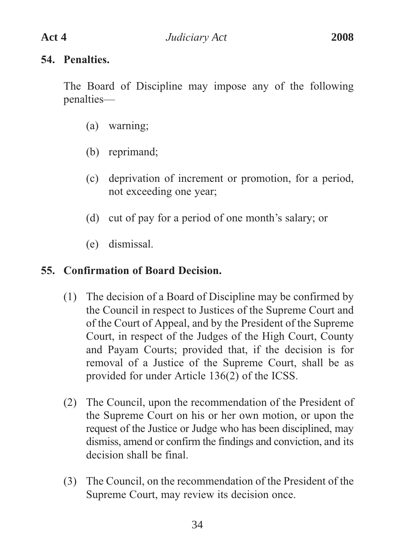#### **54. Penalties.**

The Board of Discipline may impose any of the following penalties—

- (a) warning;
- (b) reprimand;
- (c) deprivation of increment or promotion, for a period, not exceeding one year;
- (d) cut of pay for a period of one month's salary; or
- (e) dismissal.

# **55. Confirmation of Board Decision.**

- (1) The decision of a Board of Discipline may be confirmed by the Council in respect to Justices of the Supreme Court and of the Court of Appeal, and by the President of the Supreme Court, in respect of the Judges of the High Court, County and Payam Courts; provided that, if the decision is for removal of a Justice of the Supreme Court, shall be as provided for under Article 136(2) of the ICSS.
- (2) The Council, upon the recommendation of the President of the Supreme Court on his or her own motion, or upon the request of the Justice or Judge who has been disciplined, may dismiss, amend or confirm the findings and conviction, and its decision shall be final.
- (3) The Council, on the recommendation of the President of the Supreme Court, may review its decision once.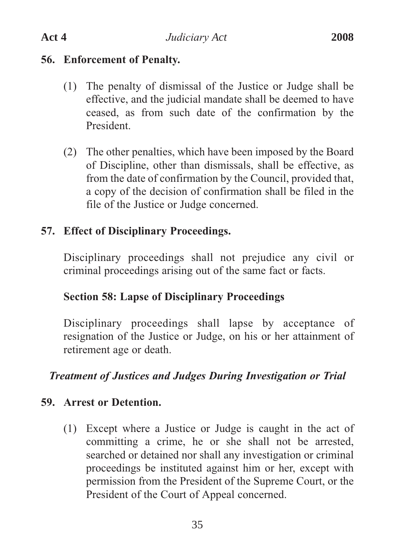#### **56. Enforcement of Penalty.**

- (1) The penalty of dismissal of the Justice or Judge shall be effective, and the judicial mandate shall be deemed to have ceased, as from such date of the confirmation by the President.
- (2) The other penalties, which have been imposed by the Board of Discipline, other than dismissals, shall be effective, as from the date of confirmation by the Council, provided that, a copy of the decision of confirmation shall be filed in the file of the Justice or Judge concerned.

### **57. Effect of Disciplinary Proceedings.**

Disciplinary proceedings shall not prejudice any civil or criminal proceedings arising out of the same fact or facts.

### **Section 58: Lapse of Disciplinary Proceedings**

Disciplinary proceedings shall lapse by acceptance of resignation of the Justice or Judge, on his or her attainment of retirement age or death.

### *Treatment of Justices and Judges During Investigation or Trial*

### **59. Arrest or Detention.**

(1) Except where a Justice or Judge is caught in the act of committing a crime, he or she shall not be arrested, searched or detained nor shall any investigation or criminal proceedings be instituted against him or her, except with permission from the President of the Supreme Court, or the President of the Court of Appeal concerned.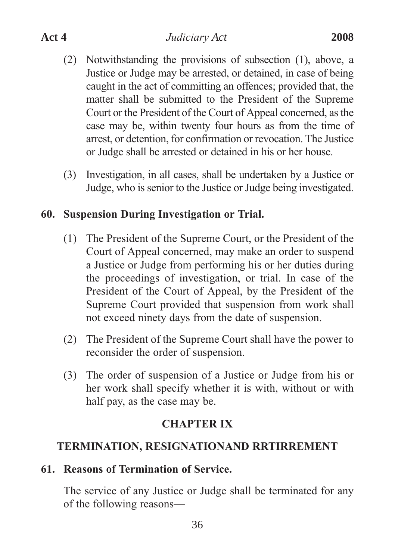- (2) Notwithstanding the provisions of subsection (1), above, a Justice or Judge may be arrested, or detained, in case of being caught in the act of committing an offences; provided that, the matter shall be submitted to the President of the Supreme Court or the President of the Court of Appeal concerned, as the case may be, within twenty four hours as from the time of arrest, or detention, for confirmation or revocation. The Justice or Judge shall be arrested or detained in his or her house.
- (3) Investigation, in all cases, shall be undertaken by a Justice or Judge, who is senior to the Justice or Judge being investigated.

### **60. Suspension During Investigation or Trial.**

- (1) The President of the Supreme Court, or the President of the Court of Appeal concerned, may make an order to suspend a Justice or Judge from performing his or her duties during the proceedings of investigation, or trial. In case of the President of the Court of Appeal, by the President of the Supreme Court provided that suspension from work shall not exceed ninety days from the date of suspension.
- (2) The President of the Supreme Court shall have the power to reconsider the order of suspension.
- (3) The order of suspension of a Justice or Judge from his or her work shall specify whether it is with, without or with half pay, as the case may be.

#### **CHAPTER IX**

### **TERMINATION, RESIGNATIONAND RRTIRREMENT**

#### **61. Reasons of Termination of Service.**

The service of any Justice or Judge shall be terminated for any of the following reasons—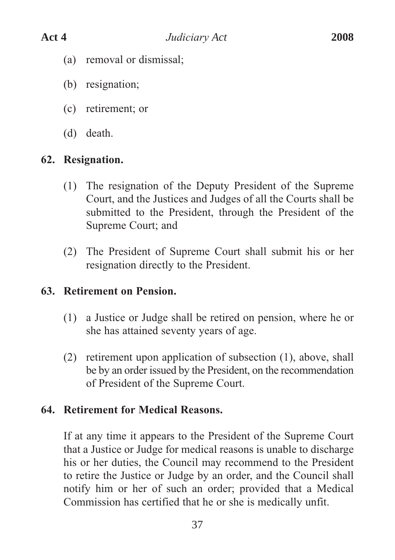- (a) removal or dismissal;
- (b) resignation;
- (c) retirement; or
- (d) death.

### **62. Resignation.**

- (1) The resignation of the Deputy President of the Supreme Court, and the Justices and Judges of all the Courts shall be submitted to the President, through the President of the Supreme Court; and
- (2) The President of Supreme Court shall submit his or her resignation directly to the President.

### **63. Retirement on Pension.**

- (1) a Justice or Judge shall be retired on pension, where he or she has attained seventy years of age.
- (2) retirement upon application of subsection (1), above, shall be by an order issued by the President, on the recommendation of President of the Supreme Court.

### **64. Retirement for Medical Reasons.**

If at any time it appears to the President of the Supreme Court that a Justice or Judge for medical reasons is unable to discharge his or her duties, the Council may recommend to the President to retire the Justice or Judge by an order, and the Council shall notify him or her of such an order; provided that a Medical Commission has certified that he or she is medically unfit.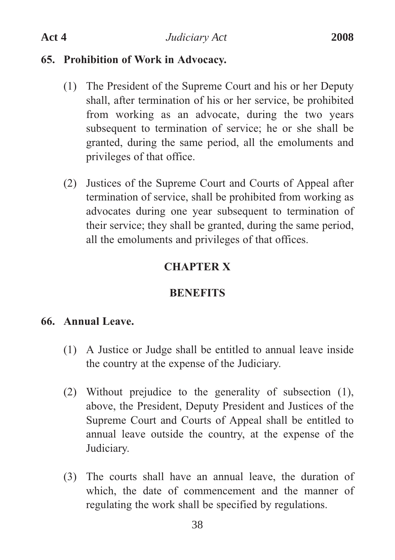#### **65. Prohibition of Work in Advocacy.**

- (1) The President of the Supreme Court and his or her Deputy shall, after termination of his or her service, be prohibited from working as an advocate, during the two years subsequent to termination of service; he or she shall be granted, during the same period, all the emoluments and privileges of that office.
- (2) Justices of the Supreme Court and Courts of Appeal after termination of service, shall be prohibited from working as advocates during one year subsequent to termination of their service; they shall be granted, during the same period, all the emoluments and privileges of that offices.

#### **CHAPTER X**

#### **BENEFITS**

#### **66. Annual Leave.**

- (1) A Justice or Judge shall be entitled to annual leave inside the country at the expense of the Judiciary.
- (2) Without prejudice to the generality of subsection (1), above, the President, Deputy President and Justices of the Supreme Court and Courts of Appeal shall be entitled to annual leave outside the country, at the expense of the Judiciary.
- (3) The courts shall have an annual leave, the duration of which, the date of commencement and the manner of regulating the work shall be specified by regulations.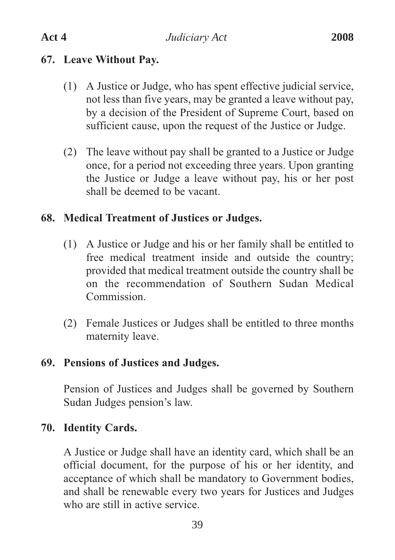# **67. Leave Without Pay.**

- (1) A Justice or Judge, who has spent effective judicial service, not less than five years, may be granted a leave without pay, by a decision of the President of Supreme Court, based on sufficient cause, upon the request of the Justice or Judge.
- (2) The leave without pay shall be granted to a Justice or Judge once, for a period not exceeding three years. Upon granting the Justice or Judge a leave without pay, his or her post shall be deemed to be vacant.

# **68. Medical Treatment of Justices or Judges.**

- (1) A Justice or Judge and his or her family shall be entitled to free medical treatment inside and outside the country; provided that medical treatment outside the country shall be on the recommendation of Southern Sudan Medical Commission.
- (2) Female Justices or Judges shall be entitled to three months maternity leave.

### **69. Pensions of Justices and Judges.**

Pension of Justices and Judges shall be governed by Southern Sudan Judges pension's law.

### **70. Identity Cards.**

A Justice or Judge shall have an identity card, which shall be an official document, for the purpose of his or her identity, and acceptance of which shall be mandatory to Government bodies, and shall be renewable every two years for Justices and Judges who are still in active service.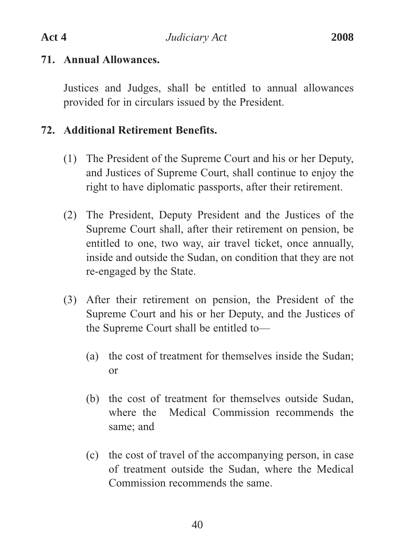#### **71. Annual Allowances.**

Justices and Judges, shall be entitled to annual allowances provided for in circulars issued by the President.

# **72. Additional Retirement Benefits.**

- (1) The President of the Supreme Court and his or her Deputy, and Justices of Supreme Court, shall continue to enjoy the right to have diplomatic passports, after their retirement.
- (2) The President, Deputy President and the Justices of the Supreme Court shall, after their retirement on pension, be entitled to one, two way, air travel ticket, once annually, inside and outside the Sudan, on condition that they are not re-engaged by the State.
- (3) After their retirement on pension, the President of the Supreme Court and his or her Deputy, and the Justices of the Supreme Court shall be entitled to—
	- (a) the cost of treatment for themselves inside the Sudan; or
	- (b) the cost of treatment for themselves outside Sudan, where the Medical Commission recommends the same; and
	- (c) the cost of travel of the accompanying person, in case of treatment outside the Sudan, where the Medical Commission recommends the same.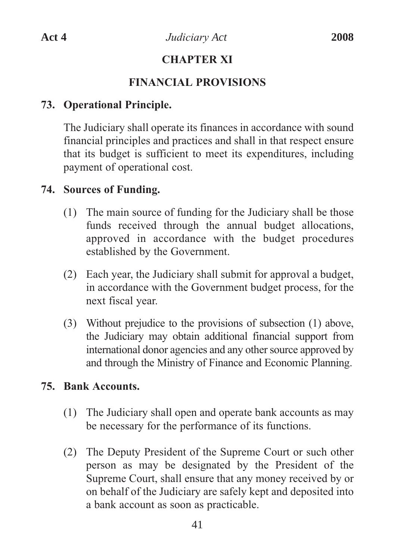# **CHAPTER XI**

# **FINANCIAL PROVISIONS**

# **73. Operational Principle.**

The Judiciary shall operate its finances in accordance with sound financial principles and practices and shall in that respect ensure that its budget is sufficient to meet its expenditures, including payment of operational cost.

# **74. Sources of Funding.**

- (1) The main source of funding for the Judiciary shall be those funds received through the annual budget allocations, approved in accordance with the budget procedures established by the Government.
- (2) Each year, the Judiciary shall submit for approval a budget, in accordance with the Government budget process, for the next fiscal year.
- (3) Without prejudice to the provisions of subsection (1) above, the Judiciary may obtain additional financial support from international donor agencies and any other source approved by and through the Ministry of Finance and Economic Planning.

### **75. Bank Accounts.**

- (1) The Judiciary shall open and operate bank accounts as may be necessary for the performance of its functions.
- (2) The Deputy President of the Supreme Court or such other person as may be designated by the President of the Supreme Court, shall ensure that any money received by or on behalf of the Judiciary are safely kept and deposited into a bank account as soon as practicable.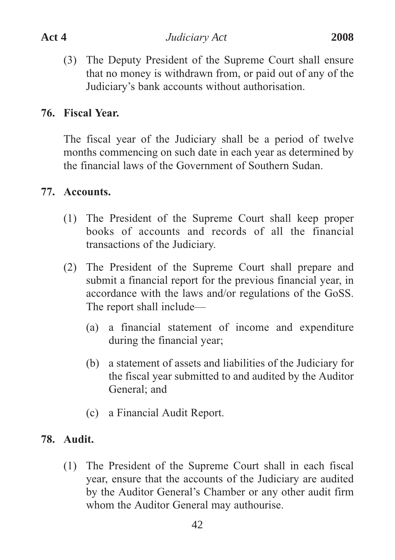(3) The Deputy President of the Supreme Court shall ensure that no money is withdrawn from, or paid out of any of the Judiciary's bank accounts without authorisation.

# **76. Fiscal Year.**

The fiscal year of the Judiciary shall be a period of twelve months commencing on such date in each year as determined by the financial laws of the Government of Southern Sudan.

### **77. Accounts.**

- (1) The President of the Supreme Court shall keep proper books of accounts and records of all the financial transactions of the Judiciary.
- (2) The President of the Supreme Court shall prepare and submit a financial report for the previous financial year, in accordance with the laws and/or regulations of the GoSS. The report shall include—
	- (a) a financial statement of income and expenditure during the financial year;
	- (b) a statement of assets and liabilities of the Judiciary for the fiscal year submitted to and audited by the Auditor General; and
	- (c) a Financial Audit Report.

# **78. Audit.**

(1) The President of the Supreme Court shall in each fiscal year, ensure that the accounts of the Judiciary are audited by the Auditor General's Chamber or any other audit firm whom the Auditor General may authourise.